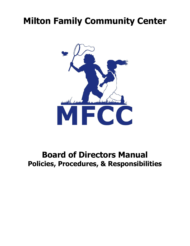# **Milton Family Community Center**



# **Board of Directors Manual Policies, Procedures, & Responsibilities**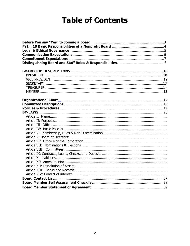# **Table of Contents**

| Before You say "Yes" to Joining a Board <b>Manual Accord Manual Accord Accord Point Accord Point Accord Point Accord Point Accord Point Accord Point Accord Point Accord Point Accord Point Accord Point Accord Point Accord Poi</b> |  |
|--------------------------------------------------------------------------------------------------------------------------------------------------------------------------------------------------------------------------------------|--|
|                                                                                                                                                                                                                                      |  |
|                                                                                                                                                                                                                                      |  |
|                                                                                                                                                                                                                                      |  |
|                                                                                                                                                                                                                                      |  |
|                                                                                                                                                                                                                                      |  |
|                                                                                                                                                                                                                                      |  |
|                                                                                                                                                                                                                                      |  |
|                                                                                                                                                                                                                                      |  |
|                                                                                                                                                                                                                                      |  |
|                                                                                                                                                                                                                                      |  |
|                                                                                                                                                                                                                                      |  |
| Organizational Chart [111] [12] Chart [12] [12] Creation (13] [12] Manuschine (13] Manuschine (13] Manuschine (13                                                                                                                    |  |
|                                                                                                                                                                                                                                      |  |
|                                                                                                                                                                                                                                      |  |
|                                                                                                                                                                                                                                      |  |
|                                                                                                                                                                                                                                      |  |
|                                                                                                                                                                                                                                      |  |
|                                                                                                                                                                                                                                      |  |
|                                                                                                                                                                                                                                      |  |
|                                                                                                                                                                                                                                      |  |
|                                                                                                                                                                                                                                      |  |
|                                                                                                                                                                                                                                      |  |
|                                                                                                                                                                                                                                      |  |
|                                                                                                                                                                                                                                      |  |
|                                                                                                                                                                                                                                      |  |
|                                                                                                                                                                                                                                      |  |
|                                                                                                                                                                                                                                      |  |
|                                                                                                                                                                                                                                      |  |
|                                                                                                                                                                                                                                      |  |
|                                                                                                                                                                                                                                      |  |
|                                                                                                                                                                                                                                      |  |
|                                                                                                                                                                                                                                      |  |
|                                                                                                                                                                                                                                      |  |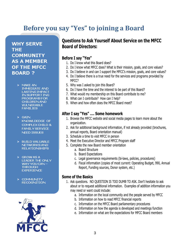# <span id="page-2-0"></span>**Before you say "Yes" to joining a Board**

**WHY SERVE THE COMMUNITY AS A MEMBER OF THE MFCC BOARD?** 

- $>$  MAKE AN **IMMEDIATE AND LASTING IMPACT** IN SUPPORT ING PROGRAMS FOR **CHILDREN AND VULNERABLE FAMILIES**
- $\triangleright$  GAIN **KNOWLDEDGE OF COMPLEX CHILD & FAMILY SERVICE NEED ISSUES**
- > BUILD VALUABLE NETWORKS AND **RELATIONSHIPS**
- > GROW AS A **LEADER THE ONLY** WAY YOU CAN-**THROUGH EXPERIENCE**
- > COMMUNITY **RECOGNITION**



# **Questions to Ask Yourself About Service on the MFCC Board of Directors:**

### **Before I say "Yes"**

- 1. Do I know what this Board does?
- 2. Do I know what MFCC does? What is their mission, goals, and core values?
- 3. Do I believe in and can I support the MFCC's mission, goals, and core values?
- 4. Do I believe there is a true need for the services and programs provided by MFCC?
- 5. Why was I asked to join this Board?
- 6. Do I have the time and the interest to be part of this Board?
- 7. What would my membership on this Board contribute to me?
- 8. What can I contribute? How can I help?
- 9. When and how often does the MFCC Board meet?

# **After I say "Yes" …. Some homework**

- 1. Browse the MFCC website and social media pages to learn more about the organization.
- 2. Ask for additional background information, if not already provided (brochures, annual reports, Board orientation manual)
- 3. Schedule a time to visit MFCC in person
- 4. Meet the Executive Director and MFCC Program staff
- 5. Complete the new Board member orientation
	- a. Board Structure
	- b. Board Expectations
	- c. Legal governance requirements (bi-laws, policies, procedures)
	- d. Fiscal information (copies of most current: Operating Budget, 990, Annual Report, Funding sources, Donor system, etc.)

### **Some of the Basics**

- 1. Ask questions. NO QUESTION IS TOO DUMB TO ASK. Don't hesitate to ask about or to request additional information. Examples of addition information you may need or want could include:
	- a. Information on the local community and the people served by MFCC
	- b. Information on how to read MFCC financial reports
	- c. Information on the MFCC Board parliamentary procedures
	- d. Information on how the agenda is developed and meetings function
	- e. Information on what are the expectations for MFCC Board members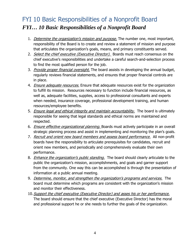# <span id="page-3-0"></span>FYI 10 Basic Responsibilities of a Nonprofit Board *FYI… 10 Basic Responsibilities of a Nonprofit Board*

- 1. Determine the organization's mission and purpose. The number one, most important, responsibility of the Board is to create and review a statement of mission and purpose that articulates the organization's goals, means, and primary constituents served.
- 2. Select the chief executive (Executive Director). Boards must reach consensus on the chief executive's responsibilities and undertake a careful search-and-selection process to find the most qualified person for the job.
- 3. *Provide proper financial oversight*. The board assists in developing the annual budget, regularly reviews financial statements, and ensures that proper financial controls are in place.
- 4. *Ensure adequate resources.* Ensure that adequate resources exist for the organization to fulfill its mission. Resources necessary to function include financial resources, as well as, adequate facilities, supplies, access to professional consultants and experts when needed, insurance coverage, professional development training, and human resources/employee benefits.
- 5. Ensure legal and ethical integrity and maintain accountability. The board is ultimately responsible for seeing that legal standards and ethical norms are maintained and respected.
- 6. Ensure effective organizational planning. Boards must actively participate in an overall strategic planning process and assist in implementing and monitoring the plan's goals.
- 7. Recruit and orient new board members and assess board performance. All non-profit boards have the responsibility to articulate prerequisites for candidates, recruit and orient new members, and periodically and comprehensively evaluate their own performance.
- 8. *Enhance the organization's public standing.* The board should clearly articulate to the public the organization's mission, accomplishments, and goals and garner support from the community. One way this can be accomplished is through the presentation of information at a public annual meeting.
- 9. Determine, monitor, and strengthen the organization's programs and services. The board must determine which programs are consistent with the organization's mission and monitor their effectiveness.
- 10. Support the chief executive (Executive Director) and asses his or her performance. The board should ensure that the chief executive (Executive Director) has the moral and professional support he or she needs to further the goals of the organization.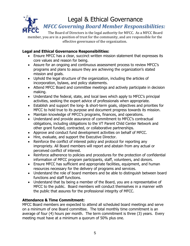

<span id="page-4-0"></span>The Board of Directors is the legal authority for MFCC. As a MFCC Board member, you are in a position of trust for the community, and are responsible for the effective governance of the organization.

# **Legal and Ethical Governance Responsibilities:**

- Ensure MFCC has a clear, succinct written mission statement that expresses its core values and reason for being.
- Assure for an ongoing and continuous assessment process to review MFCC's programs and plans to assure they are achieving the organization's stated mission and goals.
- Uphold the legal structure of the organization, including the articles of incorporation, bylaws, and policy statements.
- Attend MFCC Board and committee meetings and actively participate in decision making.
- Understand the federal, state, and local laws which apply to MFCC's principal activities, seeking the expert advice of professionals when appropriate.
- Establish and support the long- & short-term goals, objectives and priorities for MFCC to hold true to its purpose and document progress towards its mission.
- Maintain knowledge of MFCC's programs, finances, and operations.
- Understand and provide assurance of commitment to MFCC's contractual obligations, including obligations to the VT Parent Child Center Network and other grant funded, contracted, or collaborative partnerships.
- Approve and conduct fund development activities on behalf of MFCC.
- Hire, evaluate, and support the Executive Director.
- Reinforce the conflict of interest policy and protocol for reporting any impropriety. All Board members will report and abstain from any actual or perceived conflict of interest.
- Reinforce adherence to policies and procedures for the protection of confidential information of MFCC program participants, staff, volunteers, and donors.
- Ensure MFCC has sufficient and appropriate facilities, equipment, and human resources necessary for the delivery of programs and services.
- Understand the role of board members and be able to distinguish between board functions and staff functions.
- Understand that by being a member of the Board, you are a representative of MFCC to the public. Board members will conduct themselves in a manner with the public that assures for the professional integrity of MFCC.

# **Attendance & Time Commitment:**

MFCC Board members are expected to attend all scheduled board meetings and serve on a minimum of one Board committee. The total monthly time commitment is an average of four (4) hours per month. The term commitment is three (3) years. Every meeting must have at a minimum a quorum of 50% plus one.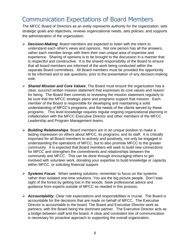# <span id="page-5-0"></span>Communication Expectations of Board Members

The MFCC Board of Directors as an entity represents authority for the organization, sets strategic goals and objectives, reviews organizational needs, sets policies, and supports the administration of the organization.

- ➢ *Decision-Making*: Board members are expected to listen with the intent to understand each other's views and opinions. Not one person has all the answers, rather each member brings with them their own unique area of expertise and experience. Sharing of opinions is to be brought to the discussion in a manner that is respectful and constructive. It is the shared responsibility of the Board to ensure that all board members are informed of the work being conducted within the separate Board committees. All Board members must be provided the opportunity to be informed and to ask questions, prior to the presentation of any decision-making vote.
- ➢ *Shared Mission and Core Values*: The Board must ensure the organization has a clear, succinct written mission statement that expresses its core values and reason for being. The Board then commits to reviewing the mission statement regularly to be sure that the MFCC strategic plans and programs support that mission. Each member of the Board is responsible for developing and maintaining a solid understanding of MFCC's programs, and the needs of the clients served by these programs. This level knowledge requires regular ongoing organizational planning in collaboration with the MFCC Executive Director and other members of the MFCC Leadership and Program Management teams.
- ➢ *Building Relationships*: Board members are in an unique position to make a lasting impression on others about MFCC, its programs, and its staff. It is critically important for all Board members to actively and positively, not only be engaged in understanding the operations of MFCC, but to also promote MFCC to the greater community. It is expected that Board members will seek to build new connections for MFCC and strengthen the commitments and relationships between the community and MFCC. This can be done through encouraging others to get involved with volunteer work, donating your expertise to build knowledge or capacity within MFCC, or soliciting financial support.
- ➢ *Systems Focus*: When seeking solutions, remember to focus on the systems rather than isolated one-time solutions. You are the big picture people. Don't lose sight of the forest by getting lost in the woods. Seek professional advice and guidance from experts outside of MFCC as needed in this process.
- ➢ *Accountability*: Clear role expectations and responsibilities is crucial. The Board is accountable for the decisions that are made on behalf of MFCC. The Executive Director is accountable to the board. The Board and Executive Director work as partners, with the Board being the dominant partner. The Executive Director acts as a bridge between staff and the board. A clear and consistent line of communication is necessary for proactive approach to supporting the overall organization.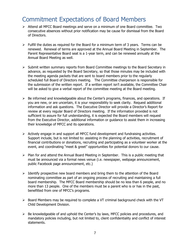# <span id="page-6-0"></span>Commitment Expectations of Board Members

- ➢ Attend all MFCC Board meetings and serve on a minimum of one Board committee. Two consecutive absences without prior notification may be cause for dismissal from the Board of Directors.
- $\triangleright$  Fulfill the duties as required for the Board for a minimum term of 3 years. Terms can be renewed. Renewal of terms are approved at the Annual Board Meeting in September. The Parent Representative Board seat is a 1-year term, and can be renewed annually at the Annual Board Meeting as well.
- ➢ Submit written summary reports from Board Committee meetings to the Board Secretary in advance, as requested by the Board Secretary, so that those minutes may be included with the meeting agenda packets that are sent to board members prior to the regularly scheduled full Board of Directors meeting. The Committee chairperson is responsible for the submission of the written report. If a written report isn't available, the Committee Chair will be asked to give a verbal report of the committee meeting at the Board meeting.
- $\triangleright$  Be informed and knowledgeable about the Center's programs, finances, and operations. If you are new, or are uncertain, it is your responsibility to seek clarity. Request additional information and ask questions. The Executive Director will provide a Director's Report for review at every regular Board of Directors meeting. If the information provided is not sufficient to assure for full understanding, it is expected the Board members will request from the Executive Director, additional information or guidance to assist them in increasing their knowledge of MFCC and its operations.
- $\triangleright$  Actively engage in and support all MFCC fund development and fundraising activities. Support include, but is not limited to: assisting in the planning of activities, recruitment of financial contributions or donations, recruiting and participating as a volunteer worker at the event, and coordinating "meet & greet" opportunities for potential donors to our cause.
- ➢ Plan for and attend the Annual Board Meeting in September. This is a public meeting that must be announced via a formal news venue (i.e. newspaper, webpage announcement, public Facebook page announcement, etc.)
- $\triangleright$  Identify prospective new board members and bring them to the attention of the Board nominating committee as part of an ongoing process of recruiting and maintaining a full board membership. The MFCC Board membership should be no less than 6 people, and no more than 13 people. One of the members must be a parent who is or has in the past, benefitted from one of MFCC's programs.
- ➢ Board Members may be required to complete a VT criminal background check with the VT Child Development Division.
- ➢ Be knowledgeable of and uphold the Center's by laws, MFCC policies and procedures, and mandatory policies including, but not limited to, client confidentiality and conflict of interest statements.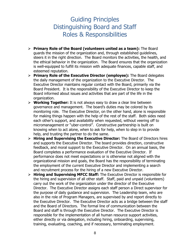# Guiding Principles Distinguishing Board and Staff Roles & Responsibilities

- <span id="page-7-0"></span>➢ **Primary Role of the Board (volunteers united as a team):** The Board guards the mission of the organization and, through established guidelines, steers it in the right direction. The Board monitors the activities, the health, and the ethical behavior in the organization. The Board ensures that the organization is well-equipped to fulfill its mission with adequate finances, capable staff, and esteemed reputation.
- ➢ **Primary Role of the Executive Director (employee):** The Board delegates the daily management of the organization to the Executive Director. The Executive Director maintains regular contact with the Board, primarily via the Board President. It is the responsibility of the Executive Director to keep the Board informed about issues and activities that are part of the life in the organization.
- ➢ **Working Together:** It is not always easy to draw a clear line between governance and management. The board's duties may be colored by its monitoring role. The Executive Director, on the other hand, alone is responsible for making things happen with the help of the rest of the staff. Both sides need each other's support, and availability when requested, without veering off to micromanagement or "uber-control". Constructive partnership is built on knowing when to act alone, when to ask for help, when to step in to provide help, and trusting the partner to do the same.
- ➢ **Hiring and Supervising the Executive Director:** The Board of Directors hires and supports the Executive Director. The board provides direction, constructive feedback, and moral support to the Executive Director. On an annual basis, the Board completes a performance evaluation of the Executive Director. If performance does not meet expectations or is otherwise not aligned with the organizational mission and goals, the Board has the responsibility of terminating the employment of the current Executive Director and implementing a search and recruitment process for the hiring of a new Executive Director.
- ➢ **Hiring and Supervising MFCC Staff:** The Executive Director is responsible for the hiring and supervision of all other staff. Staff, paid and unpaid (volunteers) carry out the work of the organization under the director of the Executive Director. The Executive Director assigns each staff person a Direct supervisor for the purpose of daily guidance and supervision. The Leadership team, who are also in the role of Program Managers, are supervised by and report directly to the Executive Director. The Executive Director acts as a bridge between the staff and the Board of Directors. The formal line of communication between the Board and staff is through the Executive Director. The Executive Director is responsible for the implementation of all human resource support activities, either directly or via delegation, including hiring, onboarding, supervising, training, evaluating, coaching, and if necessary, terminating employment.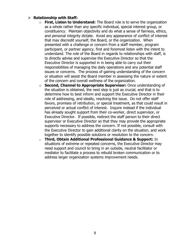### ➢ **Relationship with Staff:**

- o **First, Listen to Understand:** The Board role is to serve the organization as a whole rather than any specific individual, special interest group, or constituency. Maintain objectivity and do what a sense of fairness, ethics, and personal integrity dictate. Avoid any appearance of conflict of interest that may discredit yourself, the Board, or the organization. When presented with a challenge or concern from a staff member, program participant, or partner agency, first and foremost listen with the intent to understand. The role of the Board in regards to relationships with staff, is to directly advise and supervise the Executive Director so that the Executive Director is supported in in being able to carry out their responsibilities of managing the daily operations and any potential staff issues or concerns. The process of gaining understanding of the concern or situation will assist the Board member in assessing the nature or extent of the concern and overall wellness of the organization.
- o **Second, Channel to Appropriate Supervisor:** Once understanding of the situation is obtained, the next step is just as crucial, and that is to determine how to best inform and support the Executive Director in their role of addressing, and ideally, resolving the issue. Do not offer staff favors, promises of retribution, or special treatment, as that could result in perceived or actual conflict of interest. Inquire instead if the individual has already sought support from their co-worker, direct supervisor, or Executive Director. If possible, redirect the staff person to their direct supervisor or Executive Director so that they may provide the appropriate supports necessary to address the concern. If not possible, consult with the Executive Director to gain additional clarity on the situation, and work together to identify possible solutions or resolution to the concern.
- o **Third, Obtain Additional Professional Guidance & Support:** In situations of extreme or repeated concerns, the Executive Director may need support and council to bring in an outside, neutral facilitator or mediator to facilitate a process to rebuild broken communication or to address larger organization systems improvement needs.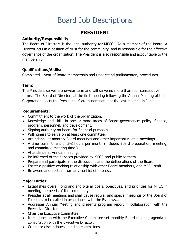# Board Job Descriptions

# **PRESIDENT**

## <span id="page-9-0"></span>**Authority/Responsibility:**

The Board of Directors is the legal authority for MFCC. As a member of the Board, A Director acts in a position of trust for the community, and is responsible for the effective governance of the organization. The President is also responsible and accountable to the membership.

## **Qualifications/Skills:**

Completed 1 year of Board membership and understand parliamentary procedures.

## **Term:**

The President serves a one-year term and will serve no more than four consecutive terms. The Board of Directors at the first meeting following the Annual Meeting of the Corporation elects the President. Slate is nominated at the last meeting in June.

## **Requirements:**

- Commitment to the work of the organization.
- Knowledge and skills in one or more areas of Board governance: policy, finance, program, personnel, and development.
- Signing authority on board for financial purposes.
- Willingness to serve on at least one committee.
- Attendance at monthly Board meetings and other important related meetings.
- A time commitment of 5-8 hours per month (includes Board preparation, meeting, and committee meeting time.)
- Attendance at Annual meeting.
- Be informed of the services provided by MFCC and publicize them.
- Prepare and participate in the discussions and the deliberations of the Board.
- Foster a positive working relationship with other Board members, and MFCC staff.
- Be aware and abstain from any conflict of interest.

- Establishes overall long and short-term goals, objectives, and priorities for MFCC in meeting the needs of the community.
- Presides at all meetings and shall cause regular and special meetings of the Board of Directors to be called in accordance with the By-Laws...
- Addresses Annual Meeting and presents program report in collaboration with the Executive Director.
- Chair the Executive Committee.
- In conjunction with the Executive Committee set monthly Board meeting agenda in consultation with the Executive Director.
- Create or discontinues standing committees.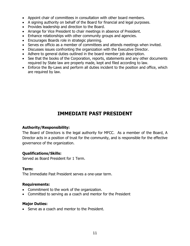- Appoint chair of committees in consultation with other board members.
- A signing authority on behalf of the Board for financial and legal purposes.
- Provides leadership and direction to the Board.
- Arrange for Vice President to chair meetings in absence of President.
- Enhance relationships with other community groups and agencies.
- Encourages Boards role in strategic planning.
- Serves ex officio as a member of committees and attends meetings when invited.
- Discusses issues confronting the organization with the Executive Director.
- Adhere to general duties outlined in the board member job description.
- See that the books of the Corporation, reports, statements and any other documents required by State law are properly made, kept and filed according to law.
- Enforce the By-Laws and perform all duties incident to the position and office, which are required by law.

# **IMMEDIATE PAST PRESIDENT**

### **Authority/Responsibility:**

The Board of Directors is the legal authority for MFCC. As a member of the Board, A Director acts in a position of trust for the community, and is responsible for the effective governance of the organization.

### **Qualifications/Skills:**

Served as Board President for 1 Term.

### **Term:**

The Immediate Past President serves a one-year term.

### **Requirements:**

- Commitment to the work of the organization.
- Committed to serving as a coach and mentor for the President

### **Major Duties:**

• Serve as a coach and mentor to the President.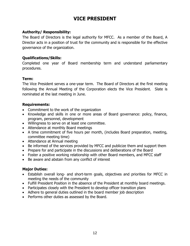# **VICE PRESIDENT**

## **Authority/ Responsibility:**

The Board of Directors is the legal authority for MFCC. As a member of the Board, A Director acts in a position of trust for the community and is responsible for the effective governance of the organization.

### **Qualifications/Skills:**

Completed one year of Board membership term and understand parliamentary procedures.

### **Term:**

The Vice President serves a one-year term. The Board of Directors at the first meeting following the Annual Meeting of the Corporation elects the Vice President. Slate is nominated at the last meeting in June.

### **Requirements:**

- Commitment to the work of the organization
- Knowledge and skills in one or more areas of Board governance: policy, finance, program, personnel, development
- Willingness to serve on at least one committee.
- Attendance at monthly Board meetings
- A time commitment of five hours per month, (includes Board preparation, meeting, committee meeting time)
- Attendance at Annual meeting
- Be informed of the services provided by MFCC and publicize them and support them
- Prepare for and participate in the discussions and deliberations of the Board
- Foster a positive working relationship with other Board members, and MFCC staff
- Be aware and abstain from any conflict of interest

- Establish overall long- and short-term goals, objectives and priorities for MFCC in meeting the needs of the community
- Fulfill President Position in the absence of the President at monthly board meetings.
- Participates closely with the President to develop officer transition plans
- Adhere to general duties outlined in the board member job description
- Performs other duties as assessed by the Board.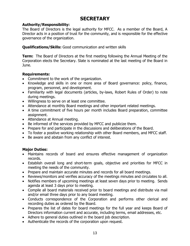# **SECRETARY**

### **Authority/Responsibility:**

The Board of Directors is the legal authority for MFCC. As a member of the Board, A Director acts in a position of trust for the community, and is responsible for the effective governance of the organization.

**Qualifications/Skills:** Good communication and written skills

**Term:** The Board of Directors at the first meeting following the Annual Meeting of the Corporation elects the Secretary. Slate is nominated at the last meeting of the Board in June.

## **Requirements:**

- Commitment to the work of the organization.
- Knowledge and skills in one or more area of Board governance: policy, finance, program, personnel, and development.
- Familiarity with legal documents (articles, by-laws, Robert Rules of Order) to note during meetings.
- Willingness to serve on at least one committee.
- Attendance at monthly Board meetings and other important related meetings.
- A time commitment of five hours per month includes Board preparation, committee assignment.
- Attendance at Annual meeting.
- Be informed of the services provided by MFCC and publicize them.
- Prepare for and participate in the discussions and deliberations of the Board.
- To foster a positive working relationship with other Board members, and MFCC staff.
- Be aware and abstain from any conflict of interest.

- Maintains records of board and ensures effective management of organization records.
- Establish overall long and short-term goals, objective and priorities for MFCC in meeting the needs of the community.
- Prepare and maintain accurate minutes and records for all board meetings.
- Reviews/monitors and verifies accuracy of the meetings minutes and circulates to all.
- Notifies members of upcoming meetings at least seven days prior to meeting. Sends agenda at least 3 days prior to meeting.
- Compile all board materials received prior to board meetings and distribute via mail and/or email three days prior to any board meeting.
- Conducts correspondence of the Corporation and performs other clerical and recording duties as ordered by the Board.
- Prepares the list of dates for board meetings for the full year and keeps Board of Directors information current and accurate, including terms, email addresses, etc.
- Adhere to general duties outlined in the board job description.
- Authenticate the records of the corporation upon request.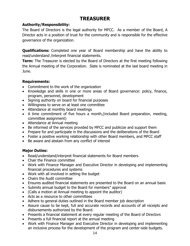# **TREASURER**

# **Authority/Responsibility:**

The Board of Directors is the legal authority for MFCC. As a member of the Board, A Director acts in a position of trust for the community and is responsible for the effective governance of the organization.

**Qualifications:** Completed one year of Board membership and have the ability to read/understand /interpret financial statements.

**Term:** The Treasurer is elected by the Board of Directors at the first meeting following the Annual meeting of the Corporation. Slate is nominated at the last board meeting in June.

### **Requirements:**

- Commitment to the work of the organization
- Knowledge and skills in one or more areas of Board governance: policy, finance, program, personnel, development
- Signing authority on board for financial purposes
- Willingness to serve on at least one committee
- Attendance at monthly board meetings
- A time commitment of five hours a month,(included Board preparation, meeting, committee assignment)
- Attendance at Annual meeting
- Be informed of the services provided by MFCC and publicize and support them
- Prepare for and participate in the discussions and the deliberations of the Board
- Foster a positive working relationship with other Board members, and MFCC staff
- Be aware and abstain from any conflict of interest

- Read/understand/interpret financial statements for Board members
- Chair the Finance committee
- Work with Finance Manager and Executive Director in developing and implementing financial procedures and systems
- Work with all involved in setting the budget
- Chairs the Audit committee
- Ensures audited financial statements are presented to the Board on an annual basis
- Submits annual budget to the Board for members" approval
- (Calls a motion at Annual meeting to appoint the auditor)
- Acts as a resource to other committees
- Adhere to general duties outlined in the Board member job description
- Assure cause to be kept, full and accurate records and accounts of all receipts and disbursements authorized by the Board.
- Presents a financial statement at every regular meeting of the Board of Directors
- Presents a full financial report at the annual meeting
- Work with Finance Manager and Executive Director in developing and implementing an inclusive process for the development of the program and center-side budgets.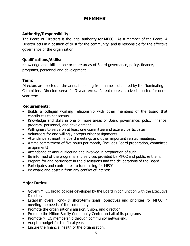# **MEMBER**

# **Authority/Responsibility:**

The Board of Directors is the legal authority for MFCC. As a member of the Board, A Director acts in a position of trust for the community, and is responsible for the effective governance of the organization.

## **Qualifications/Skills:**

Knowledge and skills in one or more areas of Board governance, policy, finance, programs, personnel and development.

## **Term:**

Directors are elected at the annual meeting from names submitted by the Nominating Committee. Directors serve for 3-year terms. Parent representative is elected for oneyear term.

## **Requirements:**

- Builds a collegial working relationship with other members of the board that contributes to consensus.
- Knowledge and skills in one or more areas of Board governance: policy, finance, program, personnel, and development.
- Willingness to serve on at least one committee and actively participates.
- Volunteers for and willingly accepts other assignments.
- Attendance at monthly Board meetings and other important related meetings.
- A time commitment of five hours per month, (includes Board preparation, committee assignment)
- Attendance at Annual Meeting and involved in preparation of such.
- Be informed of the programs and services provided by MFCC and publicize them.
- Prepare for and participate in the discussions and the deliberations of the Board.
- Participates and contributes to fundraising for MFCC.
- Be aware and abstain from any conflict of interest.

- Govern MFCC broad policies developed by the Board in conjunction with the Executive Director.
- Establish overall long- & short-term goals, objectives and priorities for MFCC in meeting the needs of the community
- Promote the organization's mission, vision, and direction.
- Promote the Milton Family Community Center and all of its programs
- Promote MFCC membership through community networking.
- Adopt a budget for the fiscal year.
- Ensure the financial health of the organization.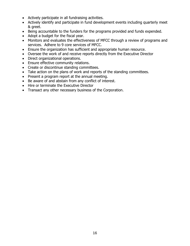- Actively participate in all fundraising activities.
- Actively identify and participate in fund development events including quarterly meet & greet.
- Being accountable to the funders for the programs provided and funds expended.
- Adopt a budget for the fiscal year.
- Monitors and evaluates the effectiveness of MFCC through a review of programs and services. Adhere to 9 core services of MFCC.
- Ensure the organization has sufficient and appropriate human resource.
- Oversee the work of and receive reports directly from the Executive Director
- Direct organizational operations.
- Ensure effective community relations.
- Create or discontinue standing committees.
- Take action on the plans of work and reports of the standing committees.
- Present a program report at the annual meeting.
- Be aware of and abstain from any conflict of interest.
- Hire or terminate the Executive Director
- Transact any other necessary business of the Corporation.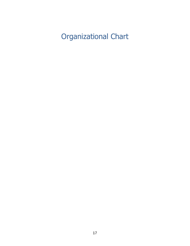<span id="page-16-0"></span>Organizational Chart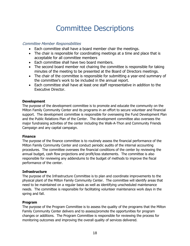# Committee Descriptions

### <span id="page-17-0"></span>Committee Member Responsibilities

- Each committee shall have a board member chair the meetings.
- The chair is responsible for coordinating meetings at a time and place that is acceptable for all committee members
- Each committee shall have two board members.
- The second board member not chairing the committee is responsible for taking minutes of the meeting to be presented at the Board of Directors meetings.
- The chair of the committee is responsible for submitting a year-end summary of the committee's work to be included in the annual report.
- Each committee shall have at least one staff representative in addition to the Executive Director.

### **Development**

The purpose of the development committee is to promote and educate the community on the Milton Family Community Center and its programs in an effort to secure volunteer and financial support. The development committee is responsible for overseeing the Fund Development Plan and the Public Relations Plan of the Center. The development committee also oversees the major fundraising activities of the center including the Walk-A-Thon and Community Friends Campaign and any capital campaign.

### **Finance**

The purpose of the finance committee is to routinely assess the financial performance of the Milton Family Community Center and conduct periodic audits of the internal accounting procedures. The committee oversees the financial conditions of the center by reviewing the annual budget, cash flow projections and profit/loss statements. The committee is also responsible for reviewing any addendums to the budget of methods to improve the fiscal performance of the center.

### **Infrastructure**

The purpose of the Infrastructure Committee is to plan and coordinate improvements to the physical plant of the Milton Family Community Center. The committee will identify areas that need to be maintained on a regular basis as well as identifying unscheduled maintenance needs. The committee is responsible for facilitating volunteer maintenance work days in the spring and fall.

### **Program**

The purpose of the Program Committee is to assess the quality of the programs that the Milton Family Community Center delivers and to assess/promote the opportunities for program changes or additions. The Program Committee is responsible for reviewing the process for monitoring outcomes and improving the overall quality of services delivered.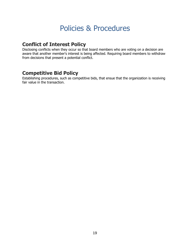# Policies & Procedures

# <span id="page-18-0"></span>**Conflict of Interest Policy**

Disclosing conflicts when they occur so that board members who are voting on a decision are aware that another member's interest is being affected. Requiring board members to withdraw from decisions that present a potential conflict.

# **Competitive Bid Policy**

Establishing procedures, such as competitive bids, that ensue that the organization is receiving fair value in the transaction.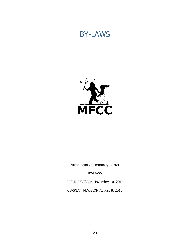# <span id="page-19-0"></span>BY-LAWS



Milton Family Community Center

BY-LAWS

PRIOR REVISION November 10, 2014

CURRENT REVISION August 8, 2016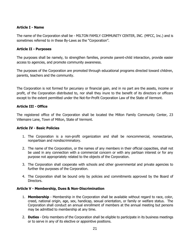### **Article I - Name**

The name of the Corporation shall be - MILTON FAMILY COMMUNITY CENTER, INC. (MFCC, Inc.) and is sometimes referred to in these By-Laws as the "Corporation".

### **Article II - Purposes**

The purposes shall be namely, to strengthen families, promote parent-child interaction, provide easier access to agencies, and promote community awareness.

The purposes of the Corporation are promoted through educational programs directed toward children, parents, teachers and the community.

The Corporation is not formed for pecuniary or financial gain, and in no part are the assets, income or profit, of the Corporation distributed to, nor shall they inure to the benefit of its directors or officers except to the extent permitted under the Not-for-Profit Corporation Law of the State of Vermont.

### **Article III - Office**

The registered office of the Corporation shall be located the Milton Family Community Center, 23 Villemaire Lane, Town of Milton, State of Vermont.

### **Article IV - Basic Policies**

- 1. The Corporation is a non-profit organization and shall be noncommercial, nonsectarian, nonpartisan and nondiscriminatory.
- 2. The name of the Corporation, or the names of any members in their official capacities, shall not be used in any connection with a commercial concern or with any partisan interest or for any purpose not appropriately related to the objects of the Corporation.
- 3. The Corporation shall cooperate with schools and other governmental and private agencies to further the purposes of the Corporation.
- 4. The Corporation shall be bound only by policies and commitments approved by the Board of Directors.

### **Article V - Membership, Dues & Non-Discrimination**

- 1. **Membership** Membership in the Corporation shall be available without regard to race, color, creed, national origin, age, sex, handicap, sexual orientation, or family or welfare status. The Corporation shall conduct an annual enrollment of members at the annual meeting but persons may be admitted to membership at any time.
- 2. **Duties**  Only members of the Corporation shall be eligible to participate in its business meetings or to serve in any of its elective or appointive positions.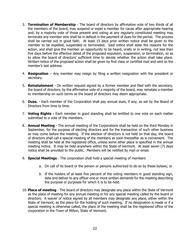- 3. **Termination of Membership** The board of directors by affirmative vote of two thirds of all the members of the board, may suspend or expel a member for cause after appropriate hearing and, by a majority vote of those present and voting at any regularly constituted meeting may terminate any member who shall be in default in the payment of dues for the period. The process shall be carried out in good faith. At least 15 days prior written notice shall be given to the member to be expelled, suspended or terminated. Said notice shall state the reasons for the action, and shall give the member an opportunity to be heard, orally or in writing, not less than five days before the effective dated of the proposed expulsion, suspension, or termination, so as to allow the board of directors' sufficient time to decide whether the action shall take place. Written notice of the proposed action shall be given by first class or certified mail and sent to the member's last address.
- 4. **Resignation** Any member may resign by filing a written resignation with the president or secretary.
- 5. **Reinstatement** On written request signed by a former member and filed with the secretary, the board of directors, by the affirmative vote of a majority of the board, may reinstate a member to membership on such terms as the board of directors may deem appropriate.
- 6. **Dues.** Each member of the Corporation shall pay annual dues, if any, as set by the Board of Directors from time to time.
- 7. **Voting Rights -** Each member in good standing shall be entitled to one vote on each matter submitted to a vote of the members.
- 8. **Annual Meeting** The annual meeting of the Corporations shall be held on the third Monday in September, for the purpose of electing directors and for the transaction of such other business as may come before the meeting. If the election of directors is not held on that day, the board of directors shall call a special meeting of the members as soon thereafter as is convenient. The meeting shall be held at the registered office, unless some other place is specified in the annual meeting notice. It may be held anywhere within the State of Vermont. At least seven (7) days notice shall be provided to the public. Members will be notified by mail or email.
- 9. **Special Meetings** The corporation shall hold a special meeting of members
	- a. On call of its board or the person or persons authorized to do so by these bylaws; or
	- b. If the holders of at least five percent of the voting members in good standing sign, date and deliver to any officer one or more written demands for the meeting describing the purpose or purposes for which it is to be held.
- 10. **Place of meeting** The board of directors may designate any place within the State of Vermont as the place of meeting for any annual meeting or for any special meeting called by the board or directors. A waiver of notice signed by all members may designate any place, either within the State of Vermont, as the place for the holding of such meeting. If no designation is made or if a special meeting is otherwise called, the place of the meeting shall be the registered office of the corporation in the Town of Milton, State of Vermont.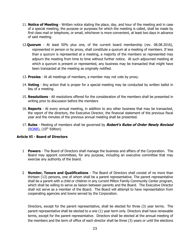- 11. **Notice of Meeting** Written notice stating the place, day, and hour of the meeting and in case of a special meeting, the purpose or purposes for which the meeting is called, shall be made by first class mail or telephone, or email, whichever is more convenient, at least two days in advance of said meeting.
- 12.**Quorum**  At least 50% plus one, of the current board membership (rev. 08.08.2016), represented in person or by proxy, shall constitute a quorum at a meeting of members. If less than a quorum is represented at a meeting, a majority of the members so represented may adjourn the meeting from time to time without further notice. At such adjourned meeting at which a quorum is present or represented, any business may be transacted that might have been transacted at the meeting as originally notified.
- 13. **Proxies** At all meetings of members, a member may not vote by proxy.
- 14. **Voting** Any action that is proper for a special meeting may be conducted by written ballot in lieu of a meeting.
- 15. **Resolutions**  All resolutions offered for the consideration of the members shall be presented in writing prior to discussion before the members
- 16. **Reports** At every annual meeting, in addition to any other business that may be transacted, the report of the directors, the Executive Director, the financial statement of the previous fiscal year and the minutes of the previous annual meeting shall be presented.
- 17. **Rules** Meeting of members shall be governed by **Robert's Rules of Order Newly Revised**  $(RONR)$ ,  $(10<sup>th</sup> Edition)$

### **Article VI - Board of Directors**

- 1 **Powers** The Board of Directors shall manage the business and affairs of the Corporation. The Board may appoint committees, for any purpose, including an executive committee that may exercise any authority of the board.
- 2 **Number, Tenure and Qualifications** The Board of Directors shall consist of no more than thirteen (13) persons, one of whom shall be a parent representative. The parent representative shall be a parent with a child or children in any current Milton Family Community Center program, which shall be willing to serve as liaison between parents and the Board. The Executive Director shall not serve as a member of the Board. The Board will attempt to have representation from cooperating agencies and towns served by the Corporation.

Directors, except for the parent representative, shall be elected for three (3) year terms. The parent representative shall be elected to a one (1) year term only. Directors shall have renewable terms, except for the parent representative. Directors shall be elected at the annual meeting of the members and the term of office of each director shall be three (3) years or until the elections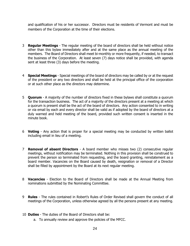and qualification of his or her successor. Directors must be residents of Vermont and must be members of the Corporation at the time of their elections.

- 3 **Regular Meetings**  The regular meeting of the board of directors shall be held without notice other than this bylaw immediately after and at the same place as the annual meeting of the members. The Board of Directors shall meet bi-monthly or more frequently, if needed, to transact the business of the Corporation. At least seven (7) days notice shall be provided, with agenda sent at least three (3) days before the meeting.
- 4 **Special Meetings** Special meetings of the board of directors may be called by or at the request of the president or any two directors and shall be held at the principal office of the corporation or at such other place as the directors may determine.
- 5 **Quorum**  A majority of the number of directors fixed in these bylaws shall constitute a quorum for the transaction business. The act of a majority of the directors present at a meeting at which a quorum is present shall be the act of the board of directors. Any action consented to in writing or via email by each and every director shall be valid as if adopted by the board of directors at a duly warned and held meeting of the board, provided such written consent is inserted in the minute book.
- 6 **Voting** Any action that is proper for a special meeting may be conducted by written ballot including email in lieu of a meeting.
- 7 **Removal of absent Directors** A board member who misses two (2) consecutive regular meetings, without notification may be terminated. Nothing in this provision shall be construed to prevent the person so terminated from requesting, and the board granting, reinstatement as a board member. Vacancies on the Board caused by death, resignation or removal of a Director shall be filled by appointment by the Board at its next regular meeting.
- 8 **Vacancies** Election to the Board of Directors shall be made at the Annual Meeting from nominations submitted by the Nominating Committee.
- 9 **Rules** The rules contained in Robert's Rules of Order Revised shall govern the conduct of all meetings of the Corporation, unless otherwise agreed by all the persons present at any meeting.
- 10 **Duties**  The duties of the Board of Directors shall be:
	- a. To annually review and approve the policies of the MFCC.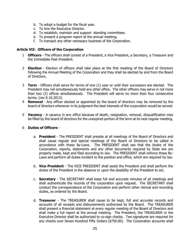- b. To adopt a budget for the fiscal year.
- c. To hire the Executive Director.
- d. To establish, maintain and support standing committees.
- e. To present a program report at the annual meeting.
- f. To transact any other necessary business of the Corporation.

#### **Article VII: Officers of the Corporation**

- 1 **Officers** The officers shall consist of a President, a Vice President, a Secretary, a Treasurer and the Immediate Past President.
- 2 **Election**  Election of officers shall take place at the first meeting of the Board of Directors following the Annual Meeting of the Corporation and they shall be elected by and from the Board of Directors.
- 3 **Term**  Officers shall serve for terms of one (1) year or until their successors are elected. The President may not simultaneously hold any other office. The other officers may serve in not more than two (2) offices simultaneously. The President will serve no more than four consecutive terms. (rev.9.16.2013)
- 4 **Removal**  Any officer elected or appointed by the board of directors may be removed by the board of directors whenever in its judgment the best interests of the corporation would be served.
- 5 **Vacancy** A vacancy in any office because of death, resignation, removal, disqualification may be filled by the board of directors for the unexpired portion of the term at its next regular meeting.

#### 6 **Duties of Officers** -

- a. **President**  The PRESIDENT shall preside at all meetings of the Board of Directors and shall cause regular and special meetings of the Board of Directors to be called in accordance with these By-Laws. The PRESIDENT shall see that the books of the Corporation, reports, statements and any other documents required by State law are properly made, kept and filed according to law. The PRESIDENT shall enforce these By-Laws and perform all duties incident to the position and office, which are required by law.
- b. **Vice President** The VICE PRESIDENT shall assist the President and shall perform the duties of the President in the absence or upon the disability of the President to act.
- c. **Secretary** The SECRETARY shall keep full and accurate minutes of all meetings and shall authenticate the records of the corporation upon request. The SECRETARY shall conduct the correspondence of the Corporation and perform other clerical and recording duties, as ordered by the Board.
- d. **Treasurer** The TREASURER shall cause to be kept, full and accurate records and accounts of all receipts and disbursements authorized by the Board. The TREASURER shall present a financial statement at every regular meeting of the Board of Directors and shall make a full report at the annual meeting. The President, the TREASURER or the Executive Director shall be authorized to co-sign checks. Two signatures are required for any checks over Seven Hundred Fifty Dollars (\$750.00). The Corporation accounts shall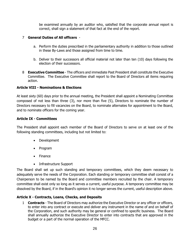be examined annually by an auditor who, satisfied that the corporate annual report is correct, shall sign a statement of that fact at the end of the report.

#### 7 **General Duties of All officers** -

- a. Perform the duties prescribed in the parliamentary authority in addition to those outlined in these By-Laws and those assigned from time to time.
- b. Deliver to their successors all official material not later than ten (10) days following the election of their successors.
- 8 **Executive Committee**  The officers and immediate Past President shall constitute the Executive Committee. The Executive Committee shall report to the Board of Directors all items requiring action.

#### **Article VIII - Nominations & Elections**

At least sixty (60) days prior to the annual meeting, the President shall appoint a Nominating Committee composed of not less than three (3), nor more than five (5), Directors to nominate the number of Directors necessary to fill vacancies on the Board, to nominate alternates for appointment to the Board, and to nominate officers for the coming year.

#### **Article IX - Committees**

The President shall appoint each member of the Board of Directors to serve on at least one of the following standing committees, including but not limited to:

- Development
- Program
- Finance
- Infrastructure Support

The Board shall set up such standing and temporary committees, which they deem necessary to adequately serve the needs of the Corporation. Each standing or temporary committee shall consist of a Chairperson to be named by the Board and committee members recruited by the chair. A temporary committee shall exist only so long as it serves a current, useful purpose. A temporary committee may be dissolved by the Board, if in the Board's opinion it no longer serves the current, useful description above.

### **Article X - Contracts, Loans, Checks, and Deposits**

1 **Contracts** - The Board of Directors may authorize the Executive Director or any officer or officers, to enter into any contract or execute and deliver any instrument in the name of and on behalf of the Corporation, and such authority may be general or confined to specific business. The Board shall annually authorize the Executive Director to enter into contracts that are approved in the budget or a part of the normal operation of the MFCC.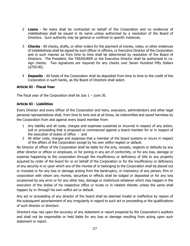- 2 **Loans**  No loans shall be contracted on behalf of the Corporation and no evidences of indebtedness shall be issued in its name unless authorized by a resolution of the Board of Directors. Such authority may be general or confined to specific instances.
- 3 **Checks** All checks, drafts, or other orders for the payment of money, notes, or other evidences of indebtedness shall be signed by such officer or officers, or Executive Director of the Corporation and in such manner as from time to time shall be determined by resolution of the Board of Directors. The President, the TREASURER or the Executive Director shall be authorized to cosign checks. Two signatures are required for any checks over Seven Hundred Fifty Dollars (\$750.00).
- 4 **Deposits** All funds of the Corporation shall be deposited from time to time to the credit of the Corporation in such banks, as the Board of Directors shall select.

### **Article XI - Fiscal Year**

The fiscal year of the Corporation shall be July  $1 -$  June 30.

### **Article XI - Liabilities**

Every Director and every officer of the Corporation and heirs, executors, administrators and other legal personal representatives shall, from time to time and at all times, be indemnified and saved harmless by the Corporation from and against every board member from:

- 1 Any liability and all costs, charges and expenses sustained or incurred in respect of any action, suit or proceeding that is proposed or commenced against a board member for or in respect of the execution of duties of office - and
- 2 All other costs, charges and expenses that a member of the board sustains or incurs in respect of the affairs of the Corporation except by his own willful neglect or default.

No Director of officer of the Corporation shall be liable for the acts, receipts, neglects or defaults by any other director or officer or employee, or for joining in any act of conformity, or for any loss, damage or expense happening to the corporation through the insufficiency or deficiency of title to any property acquired by order of the board for or on behalf of the Corporation or for the insufficiency or deficiency of any security in or upon which any of the monies of or belonging to the Corporation shall be placed out or invested or for any loss or damage arising from the bankruptcy, or insolvency of any person, firm or corporation with whom any monies, securities or effects shall be lodged or deposited or for any loss occasioned by any error or for any other loss, damage or misfortune whatever which may happen in the execution of the duties of his respective office or trusts or in relation thereto unless the same shall happen by or through his own willful act or default.

Any act or proceeding of any director of the board shall be deemed invalid or ineffective by reason of the subsequent ascertainment of any irregularity in regard to such act or proceeding or the qualifications of such director or directors.

Directors may rely upon the accuracy of any statement or report prepared by the Corporation's auditors and shall not be responsible or held liable for any loss or damage resulting from acting upon such statement or report.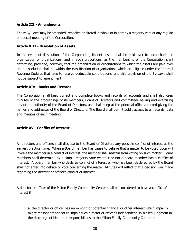### **Article XII - Amendments**

These By-Laws may be amended, repealed or altered in whole or in part by a majority vote at any regular or special meeting of the Corporation.

### **Article XIII - Dissolution of Assets**

In the event of dissolution of the Corporation, its net assets shall be paid over to such charitable organization or organizations, and in such proportions, as the membership of the Corporation shall determine, provided, however, that the organization or organizations to which the assets are paid over upon dissolution shall be within the classification of organizations which are eligible under the Internal Revenue Code at that time to receive deductible contributions, and this provision of the By-Laws shall not be subject to amendment.

#### **Article XIV - Books and Records**

The Corporation shall keep correct and complete books and records of accounts and shall also keep minutes of the proceedings of its members, Board of Directors and committees having and exercising any of the authority of the Board of Directors, and shall keep at the principal office a record giving the names and addresses of the Board of Directors. The Board shall permit public access to all records, data and minutes of each meeting.

### **Article XV - Conflict of Interest**

All directors and officers shall disclose to the Board of Directors any possible conflict of interest at the earliest practical time. When a Board member has cause to believe that a matter to be voted upon will involve the member in a conflict of interest, the member shall abstain from voting on such matter. Board members shall determine by a simple majority vote whether or not a board member has a conflict of interest. A board member who declares conflict of interest or who has been declared so by the Board shall not enter into debate or vote concerning the matter. Minutes will reflect that a decision was made regarding the director or officer's conflict of interest.

A director or officer of the Milton Family Community Center shall be considered to have a conflict of interest if

a. the director or officer has an existing or potential financial or other interest which impair or might reasonably appear to impair such director or officer's independent un-biased judgment in the discharge of his or her responsibilities to the Milton Family Community Center or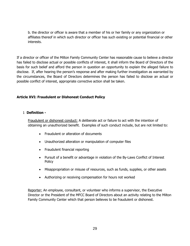b. the director or officer is aware that a member of his or her family or any organization or affiliates thereof in which such director or officer has such existing or potential financial or other interests.

If a director or officer of the Milton Family Community Center has reasonable cause to believe a director has failed to disclose actual or possible conflicts of interest, it shall inform the Board of Directors of the basis for such belief and afford the person in question an opportunity to explain the alleged failure to disclose. If, after hearing the person's response and after making further investigation as warranted by the circumstances, the Board of Directors determines the person has failed to disclose an actual or possible conflict of interest, appropriate corrective action shall be taken.

### **Article XVI: Fraudulent or Dishonest Conduct Policy**

#### 1 **Definition -**

Fraudulent or dishonest conduct: A deliberate act or failure to act with the intention of obtaining an unauthorized benefit. Examples of such conduct include, but are not limited to:

- Fraudulent or alteration of documents
- Unauthorized alteration or manipulation of computer files
- Fraudulent financial reporting
- Pursuit of a benefit or advantage in violation of the By-Laws Conflict of Interest **Policy**
- Misappropriation or misuse of resources, such as funds, supplies, or other assets
- Authorizing or receiving compensation for hours not worked

Reporter: An employee, consultant, or volunteer who informs a supervisor, the Executive Director or the President of the MFCC Board of Directors about an activity relating to the Milton Family Community Center which that person believes to be fraudulent or dishonest.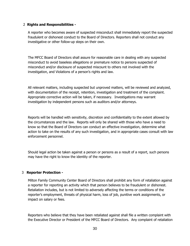#### 2 **Rights and Responsibilities -**

A reporter who becomes aware of suspected misconduct shall immediately report the suspected fraudulent or dishonest conduct to the Board of Directors. Reporters shall not conduct any investigative or other follow-up steps on their own.

The MFCC Board of Directors shall assure for reasonable care in dealing with any suspected misconduct to avoid baseless allegations or premature notice to persons suspected of misconduct and/or disclosure of suspected miscount to others not involved with the investigation, and Violations of a person's rights and law.

All relevant matters, including suspected but unproved matters, will be reviewed and analyzed, with documentation of the receipt, retention, investigation and treatment of the complaint. Appropriate corrective action will be taken, if necessary. Investigations may warrant investigation by independent persons such as auditors and/or attorneys.

Reports will be handled with sensitivity, discretion and confidentiality to the extent allowed by the circumstances and the law. Reports will only be shared with those who have a need to know so that the Board of Directors can conduct an effective investigation, determine what action to take on the results of any such investigation, and in appropriate cases consult with law enforcement personnel.

Should legal action be taken against a person or persons as a result of a report, such persons may have the right to know the identity of the reporter.

### 3 **Reporter Protection -**

Milton Family Community Center Board of Directors shall prohibit any form of retaliation against a reporter for reporting an activity which that person believes to be fraudulent or dishonest. Retaliation includes, but is not limited to adversely affecting the terms or conditions of the reporter's employment, threats of physical harm, loss of job, punitive work assignments, or impact on salary or fees.

Reporters who believe that they have been retaliated against shall file a written complaint with the Executive Director or President of the MFCC Board of Directors. Any complaint of retaliation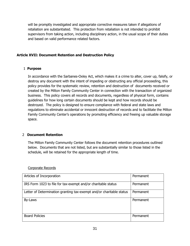will be promptly investigated and appropriate corrective measures taken if allegations of retaliation are substantiated. This protection from retaliation is not intended to prohibit supervisors from taking action, including disciplinary action, in the usual scope of their duties and based on valid performance related factors.

### **Article XVII: Document Retention and Destruction Policy**

### 1 **Purpose**

In accordance with the Sarbanes-Oxley Act, which makes it a crime to alter, cover up, falsify, or destroy any document with the intent of impeding or obstructing any official proceeding, this policy provides for the systematic review, retention and destruction of documents received or created by the Milton Family Community Center in connection with the transaction of organized business. This policy covers all records and documents, regardless of physical form, contains guidelines for how long certain documents should be kept and how records should be destroyed. The policy is designed to ensure compliance with federal and state laws and regulations to eliminate accidental or innocent destruction of records and to facilitate the Milton Family Community Center's operations by promoting efficiency and freeing up valuable storage space.

### 2 **Document Retention**

The Milton Family Community Center follows the document retention procedures outlined below. Documents that are not listed, but are substantially similar to those listed in the schedule, will be retained for the appropriate length of time.

| Articles of Incorporation                                            | Permanent |
|----------------------------------------------------------------------|-----------|
| IRS Form 1023 to file for tax-exempt and/or charitable status        | Permanent |
| Letter of Determination granting tax-exempt and/or charitable status | Permanent |
| By-Laws                                                              | Permanent |
| <b>Board Policies</b>                                                | Permanent |

Corporate Records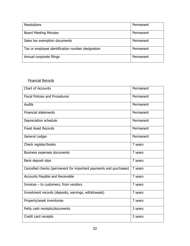| <b>Resolutions</b>                                | Permanent |
|---------------------------------------------------|-----------|
|                                                   |           |
|                                                   |           |
| <b>Board Meeting Minutes</b>                      | Permanent |
|                                                   |           |
|                                                   |           |
| Sales tax exemption documents                     | Permanent |
|                                                   |           |
|                                                   |           |
| Tax or employee identification number designation | Permanent |
|                                                   |           |
|                                                   |           |
| Annual corporate filings                          | Permanent |
|                                                   |           |
|                                                   |           |

## Financial Records

| Chart of Accounts                                                 | Permanent |
|-------------------------------------------------------------------|-----------|
| <b>Fiscal Policies and Procedures</b>                             | Permanent |
| <b>Audits</b>                                                     | Permanent |
| <b>Financial statements</b>                                       | Permanent |
| Depreciation schedule                                             | Permanent |
| <b>Fixed Asset Records</b>                                        | Permanent |
| General Ledger                                                    | Permanent |
| Check register/books                                              | 7 years   |
| Business expenses documents                                       | 7 years   |
| Bank deposit slips                                                | 7 years   |
| Cancelled checks (permanent for important payments and purchases) | 7 years   |
| Accounts Payable and Receivable                                   | 7 years   |
| Invoices $-$ to customers, from vendors                           | 7 years   |
| Investment records (deposits, earnings, withdrawals)              | 7 years   |
| Property/asset inventories                                        | 7 years   |
| Petty cash receipts/documents                                     | 3 years   |
| Credit card receipts                                              | 3 years   |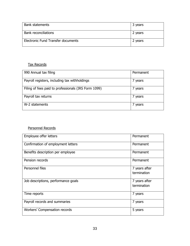| <b>Bank statements</b>             | 3 years |
|------------------------------------|---------|
| <b>Bank reconciliations</b>        | 2 years |
| Electronic Fund Transfer documents | 2 years |

## Tax Records

| 990 Annual tax filing                                | Permanent |
|------------------------------------------------------|-----------|
| Payroll registers, including tax withholdings        | ' years   |
| Filing of fees paid to professionals (IRS Form 1099) | 7 years   |
| Payroll tax returns                                  | 7 years   |
| W-2 statements                                       | ' years   |

# Personnel Records

| Employee offer letters               | Permanent                    |
|--------------------------------------|------------------------------|
| Confirmation of employment letters   | Permanent                    |
| Benefits description per employee    | Permanent                    |
| Pension records                      | Permanent                    |
| Personnel files                      | 7 years after<br>termination |
| Job descriptions, performance goals  | 7 years after<br>termination |
| Time reports                         | 7 years                      |
| Payroll records and summaries        | 7 years                      |
| <b>Workers' Compensation records</b> | 5 years                      |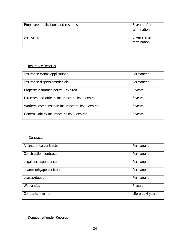| Employee applications and resumes | 3 years after<br>termination |
|-----------------------------------|------------------------------|
| I-9 Forms                         | 3 years after<br>termination |

## Insurance Records

| Insurance claims applications                       | Permanent |
|-----------------------------------------------------|-----------|
| Insurance dispersions/denials                       | Permanent |
| Property insurance policy $-$ expired               | 3 years   |
| Directors and officers insurance policy $-$ expired | 3 years   |
| Workers' compensation insurance policy $-$ expired  | 3 years   |
| General liability insurance policy - expired        | 3 years   |

# **Contracts**

| All insurance contracts | Permanent         |
|-------------------------|-------------------|
| Construction contracts  | Permanent         |
| Legal correspondence    | Permanent         |
| Loan/mortgage contracts | Permanent         |
| Leases/deeds            | Permanent         |
| Warranties              | 7 years           |
| Contracts - minor       | Life plus 4 years |

Donations/Funder Records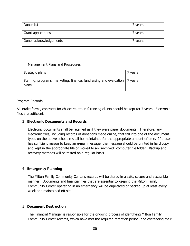| Donor list             | ' years |
|------------------------|---------|
| Grant applications     | 7 years |
| Donor acknowledgements | ' years |

#### Management Plans and Procedures

| Strategic plans                                                                       | 7 years |
|---------------------------------------------------------------------------------------|---------|
| Staffing, programs, marketing, finance, fundraising and evaluation   7 years<br>plans |         |

#### Program Records

All intake forms, contracts for childcare, etc. referencing clients should be kept for 7 years. Electronic files are sufficient.

#### 3 **Electronic Documents and Records**

Electronic documents shall be retained as if they were paper documents. Therefore, any electronic files, including records of donations made online, that fall into one of the document types on the above schedule shall be maintained for the appropriate amount of time. If a user has sufficient reason to keep an e-mail message, the message should be printed in hard copy and kept in the appropriate file or moved to an "archived" computer file folder. Backup and recovery methods will be tested on a regular basis.

#### 4 **Emergency Planning**

The Milton Family Community Center's records will be stored in a safe, secure and accessible manner. Documents and financial files that are essential to keeping the Milton Family Community Center operating in an emergency will be duplicated or backed up at least every week and maintained off site.

#### 5 **Document Destruction**

The Financial Manager is responsible for the ongoing process of identifying Milton Family Community Center records, which have met the required retention period, and overseeing their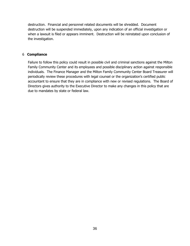destruction. Financial and personnel related documents will be shredded. Document destruction will be suspended immediately, upon any indication of an official investigation or when a lawsuit is filed or appears imminent. Destruction will be reinstated upon conclusion of the investigation.

### 6 **Compliance**

Failure to follow this policy could result in possible civil and criminal sanctions against the Milton Family Community Center and its employees and possible disciplinary action against responsible individuals. The Finance Manager and the Milton Family Community Center Board Treasurer will periodically review these procedures with legal counsel or the organization's certified public accountant to ensure that they are in compliance with new or revised regulations. The Board of Directors gives authority to the Executive Director to make any changes in this policy that are due to mandates by state or federal law.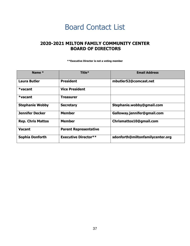# Board Contact List

# <span id="page-36-0"></span>**2020-2021 MILTON FAMILY COMMUNITY CENTER BOARD OF DIRECTORS**

**\*\*Executive Director is not a voting member**

| Name *                   | Title*                       | <b>Email Address</b>             |
|--------------------------|------------------------------|----------------------------------|
| <b>Laura Butler</b>      | <b>President</b>             | mbutler52@comcast.net            |
| $*vacant$                | <b>Vice President</b>        |                                  |
| $*vacant$                | Treasurer                    |                                  |
| <b>Stephanie Wobby</b>   | <b>Secretary</b>             | Stephanie.wobby@gmail.com        |
| <b>Jennifer Decker</b>   | Member                       | Galloway.jennifer@gmail.com      |
| <b>Rep. Chris Mattos</b> | <b>Member</b>                | Chrismattos10@gmail.com          |
| <b>Vacant</b>            | <b>Parent Representative</b> |                                  |
| Sophia Donforth          | <b>Executive Director**</b>  | sdonforth@miltonfamilycenter.org |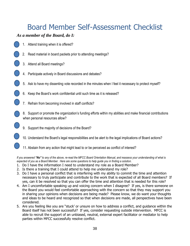# Board Member Self-Assessment Checklist

# *As a member of the Board, do I:*

- 1. Attend training when it is offered?
- 2. Read material in board packets prior to attending meetings?
- 3. Attend all Board meetings?
- 4. Participate actively in Board discussions and debates?
- 5. Ask to have my dissenting vote recorded in the minutes when I feel it necessary to protect myself?
- 6. Keep the Board's work confidential until such time as it is released?
- 7. Refrain from becoming involved in staff conflicts?
- 8. Support or promote the organization's funding efforts within my abilities and make financial contributions when personal resources allow?
- 9. Support the majority of decisions of the Board?
- 10. Understand the Board's legal responsibilities and be alert to the legal implications of Board actions?
- 11. Abstain from any action that might lead to or be perceived as conflict of interest?

*If you answered "No" to any of the above, re-read the MFCC Board Orientation Manual, and reassess your understanding of what is expected of you as a Board Member. Here are some questions to help guide you in finding a solution.*

- 1. Do I have the information I need to understand my role as a Board Member?
- 2. Is there a training that I could attend to help me understand my role?
- 3. Do I have a personal conflict that is interfering with my ability to commit the time and attention necessary to truly participate and contribute to the work that is expected of all Board members? If yes, can it be resolved so that you can offer the time and attention that is needed for this role?
- 4. Am I uncomfortable speaking up and voicing concern when I disagree? If yes, is there someone on the Board you would feel comfortable approaching with the concern so that they may support you in sharing your opinions when decisions are being made? Please know, we do want your thoughts and ideas to be heard and recognized so that when decisions are made, all perspectives have been considered.
- 5. Are you feeling like you are "stuck' or unsure on how to address a conflict, and guidance within the Board itself has not been successful? If yes, consider requesting outside intervention. MFCC is able to recruit the support of an unbiased, neutral, external expert facilitator or mediator to help parties within MFCC successfully resolve conflict.